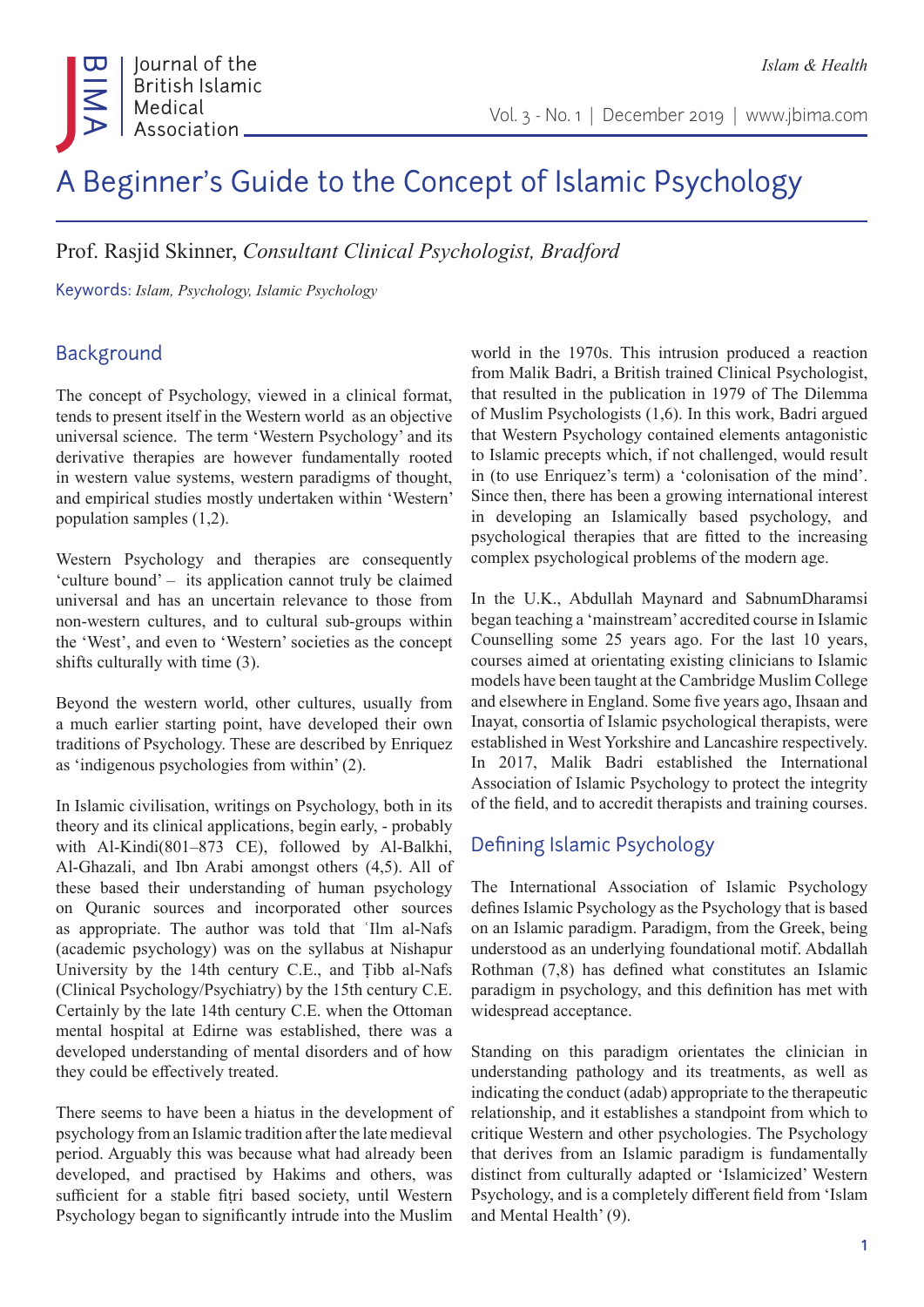

# A Beginner's Guide to the Concept of Islamic Psychology

Prof. Rasjid Skinner, *Consultant Clinical Psychologist, Bradford*

Keywords: *Islam, Psychology, Islamic Psychology*

# Background

The concept of Psychology, viewed in a clinical format, tends to present itself in the Western world as an objective universal science. The term 'Western Psychology' and its derivative therapies are however fundamentally rooted in western value systems, western paradigms of thought, and empirical studies mostly undertaken within 'Western' population samples (1,2).

Western Psychology and therapies are consequently 'culture bound' – its application cannot truly be claimed universal and has an uncertain relevance to those from non-western cultures, and to cultural sub-groups within the 'West', and even to 'Western' societies as the concept shifts culturally with time (3).

Beyond the western world, other cultures, usually from a much earlier starting point, have developed their own traditions of Psychology. These are described by Enriquez as 'indigenous psychologies from within' (2).

In Islamic civilisation, writings on Psychology, both in its theory and its clinical applications, begin early, - probably with Al-Kindi(801–873 CE), followed by Al-Balkhi, Al-Ghazali, and Ibn Arabi amongst others (4,5). All of these based their understanding of human psychology on Quranic sources and incorporated other sources as appropriate. The author was told that ʿIlm al-Nafs (academic psychology) was on the syllabus at Nishapur University by the 14th century C.E., and Ṭibb al-Nafs (Clinical Psychology/Psychiatry) by the 15th century C.E. Certainly by the late 14th century C.E. when the Ottoman mental hospital at Edirne was established, there was a developed understanding of mental disorders and of how they could be effectively treated.

There seems to have been a hiatus in the development of psychology from an Islamic tradition after the late medieval period. Arguably this was because what had already been developed, and practised by Hakims and others, was sufficient for a stable fitri based society, until Western Psychology began to significantly intrude into the Muslim

world in the 1970s. This intrusion produced a reaction from Malik Badri, a British trained Clinical Psychologist, that resulted in the publication in 1979 of The Dilemma of Muslim Psychologists (1,6). In this work, Badri argued that Western Psychology contained elements antagonistic to Islamic precepts which, if not challenged, would result in (to use Enriquez's term) a 'colonisation of the mind'. Since then, there has been a growing international interest in developing an Islamically based psychology, and psychological therapies that are fitted to the increasing complex psychological problems of the modern age.

In the U.K., Abdullah Maynard and SabnumDharamsi began teaching a 'mainstream' accredited course in Islamic Counselling some 25 years ago. For the last 10 years, courses aimed at orientating existing clinicians to Islamic models have been taught at the Cambridge Muslim College and elsewhere in England. Some five years ago, Ihsaan and Inayat, consortia of Islamic psychological therapists, were established in West Yorkshire and Lancashire respectively. In 2017, Malik Badri established the International Association of Islamic Psychology to protect the integrity of the field, and to accredit therapists and training courses.

# Defining Islamic Psychology

The International Association of Islamic Psychology defines Islamic Psychology as the Psychology that is based on an Islamic paradigm. Paradigm, from the Greek, being understood as an underlying foundational motif. Abdallah Rothman (7,8) has defined what constitutes an Islamic paradigm in psychology, and this definition has met with widespread acceptance.

Standing on this paradigm orientates the clinician in understanding pathology and its treatments, as well as indicating the conduct (adab) appropriate to the therapeutic relationship, and it establishes a standpoint from which to critique Western and other psychologies. The Psychology that derives from an Islamic paradigm is fundamentally distinct from culturally adapted or 'Islamicized' Western Psychology, and is a completely different field from 'Islam and Mental Health' (9).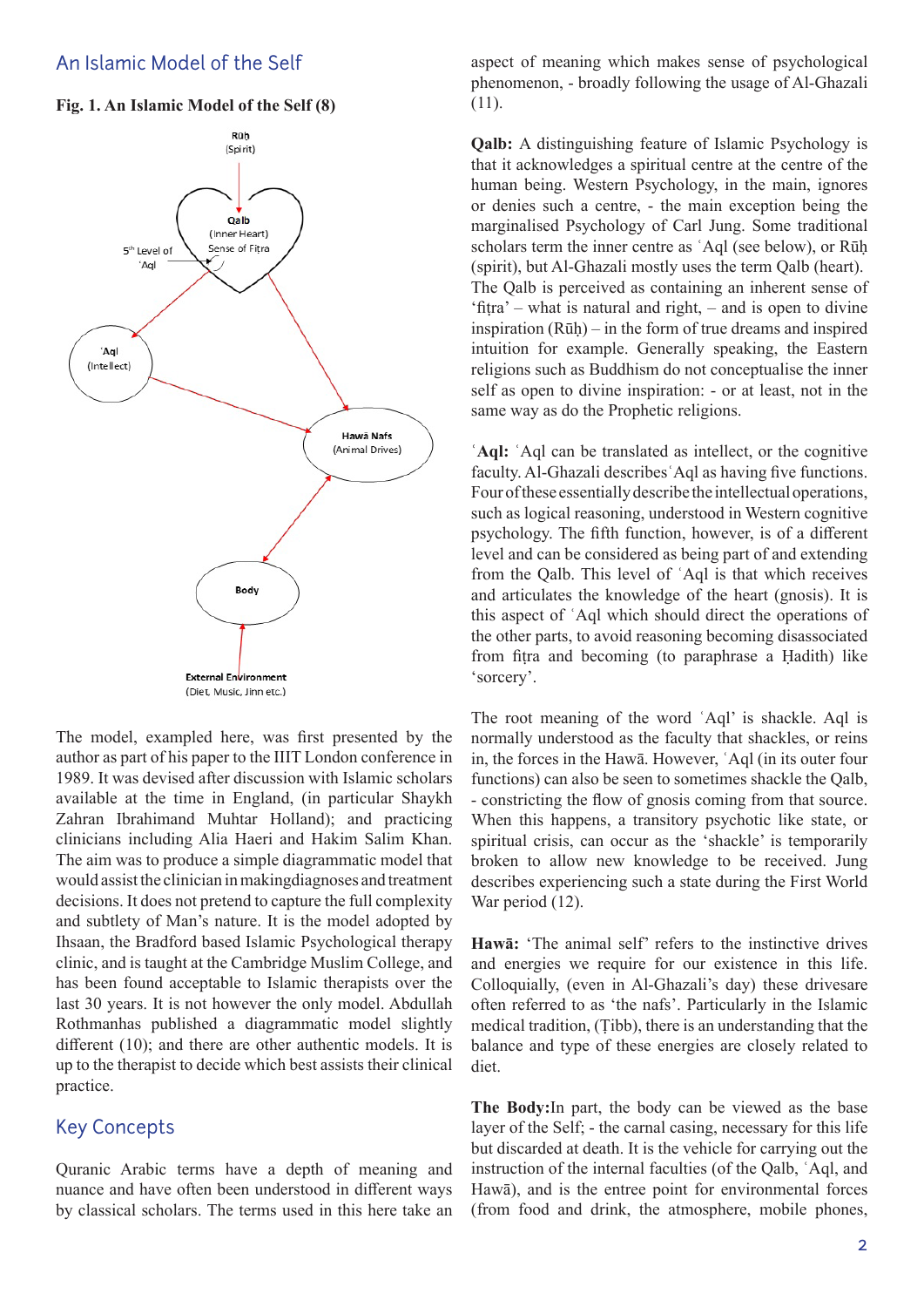## An Islamic Model of the Self

#### **Fig. 1. An Islamic Model of the Self (8)**



The model, exampled here, was first presented by the author as part of his paper to the IIIT London conference in 1989. It was devised after discussion with Islamic scholars available at the time in England, (in particular Shaykh Zahran Ibrahimand Muhtar Holland); and practicing clinicians including Alia Haeri and Hakim Salim Khan. The aim was to produce a simple diagrammatic model that would assist the clinician in makingdiagnoses and treatment decisions. It does not pretend to capture the full complexity and subtlety of Man's nature. It is the model adopted by Ihsaan, the Bradford based Islamic Psychological therapy clinic, and is taught at the Cambridge Muslim College, and has been found acceptable to Islamic therapists over the last 30 years. It is not however the only model. Abdullah Rothmanhas published a diagrammatic model slightly different (10); and there are other authentic models. It is up to the therapist to decide which best assists their clinical practice.

### Key Concepts

Quranic Arabic terms have a depth of meaning and nuance and have often been understood in different ways by classical scholars. The terms used in this here take an aspect of meaning which makes sense of psychological phenomenon, - broadly following the usage of Al-Ghazali (11).

**Qalb:** A distinguishing feature of Islamic Psychology is that it acknowledges a spiritual centre at the centre of the human being. Western Psychology, in the main, ignores or denies such a centre, - the main exception being the marginalised Psychology of Carl Jung. Some traditional scholars term the inner centre as ʿAql (see below), or Rūḥ (spirit), but Al-Ghazali mostly uses the term Qalb (heart). The Qalb is perceived as containing an inherent sense of 'fitra' – what is natural and right, – and is open to divine inspiration (Rūḥ) – in the form of true dreams and inspired intuition for example. Generally speaking, the Eastern religions such as Buddhism do not conceptualise the inner self as open to divine inspiration: - or at least, not in the same way as do the Prophetic religions.

**ʿAql:** ʿAql can be translated as intellect, or the cognitive faculty. Al-Ghazali describesʿAql as having five functions. Four of these essentially describe the intellectual operations, such as logical reasoning, understood in Western cognitive psychology. The fifth function, however, is of a different level and can be considered as being part of and extending from the Qalb. This level of ʿAql is that which receives and articulates the knowledge of the heart (gnosis). It is this aspect of ʿAql which should direct the operations of the other parts, to avoid reasoning becoming disassociated from fitra and becoming (to paraphrase a Hadith) like 'sorcery'.

The root meaning of the word ʿAql' is shackle. Aql is normally understood as the faculty that shackles, or reins in, the forces in the Hawā. However, ʿAql (in its outer four functions) can also be seen to sometimes shackle the Qalb, - constricting the flow of gnosis coming from that source. When this happens, a transitory psychotic like state, or spiritual crisis, can occur as the 'shackle' is temporarily broken to allow new knowledge to be received. Jung describes experiencing such a state during the First World War period (12).

**Hawā:** 'The animal self' refers to the instinctive drives and energies we require for our existence in this life. Colloquially, (even in Al-Ghazali's day) these drivesare often referred to as 'the nafs'. Particularly in the Islamic medical tradition, (Ṭibb), there is an understanding that the balance and type of these energies are closely related to diet.

**The Body:**In part, the body can be viewed as the base layer of the Self; - the carnal casing, necessary for this life but discarded at death. It is the vehicle for carrying out the instruction of the internal faculties (of the Qalb, ʿAql, and Hawā), and is the entree point for environmental forces (from food and drink, the atmosphere, mobile phones,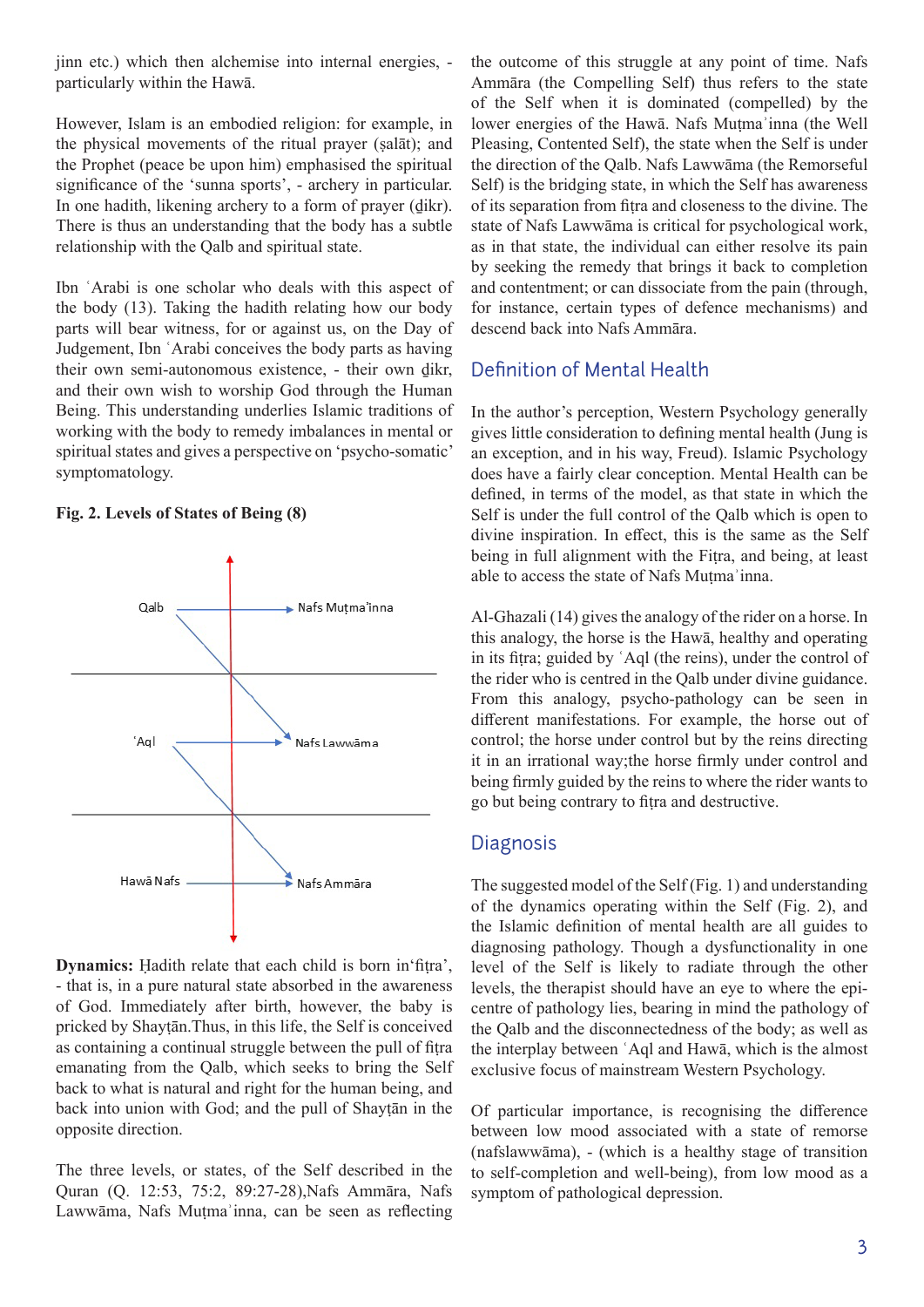jinn etc.) which then alchemise into internal energies, particularly within the Hawā.

However, Islam is an embodied religion: for example, in the physical movements of the ritual prayer (ṣalāt); and the Prophet (peace be upon him) emphasised the spiritual significance of the 'sunna sports', - archery in particular. In one hadith, likening archery to a form of prayer (dikr). There is thus an understanding that the body has a subtle relationship with the Qalb and spiritual state.

Ibn ʿArabi is one scholar who deals with this aspect of the body (13). Taking the hadith relating how our body parts will bear witness, for or against us, on the Day of Judgement, Ibn ʿArabi conceives the body parts as having their own semi-autonomous existence, - their own ḏikr, and their own wish to worship God through the Human Being. This understanding underlies Islamic traditions of working with the body to remedy imbalances in mental or spiritual states and gives a perspective on 'psycho-somatic' symptomatology.

#### **Fig. 2. Levels of States of Being (8)**



**Dynamics:** Hadith relate that each child is born in'fitra', - that is, in a pure natural state absorbed in the awareness of God. Immediately after birth, however, the baby is pricked by Shayṭān.Thus, in this life, the Self is conceived as containing a continual struggle between the pull of fitra emanating from the Qalb, which seeks to bring the Self back to what is natural and right for the human being, and back into union with God; and the pull of Shayṭān in the opposite direction.

The three levels, or states, of the Self described in the Quran (Q. 12:53, 75:2, 89:27-28),Nafs Ammāra, Nafs Lawwāma, Nafs Muṭmaʾinna, can be seen as reflecting the outcome of this struggle at any point of time. Nafs Ammāra (the Compelling Self) thus refers to the state of the Self when it is dominated (compelled) by the lower energies of the Hawā. Nafs Muṭma'inna (the Well Pleasing, Contented Self), the state when the Self is under the direction of the Qalb. Nafs Lawwāma (the Remorseful Self) is the bridging state, in which the Self has awareness of its separation from fiṭra and closeness to the divine. The state of Nafs Lawwāma is critical for psychological work, as in that state, the individual can either resolve its pain by seeking the remedy that brings it back to completion and contentment; or can dissociate from the pain (through, for instance, certain types of defence mechanisms) and descend back into Nafs Ammāra.

# Definition of Mental Health

In the author's perception, Western Psychology generally gives little consideration to defining mental health (Jung is an exception, and in his way, Freud). Islamic Psychology does have a fairly clear conception. Mental Health can be defined, in terms of the model, as that state in which the Self is under the full control of the Qalb which is open to divine inspiration. In effect, this is the same as the Self being in full alignment with the Fitra, and being, at least able to access the state of Nafs Mutma'inna.

Al-Ghazali (14) gives the analogy of the rider on a horse. In this analogy, the horse is the Hawā, healthy and operating in its fiṭra; guided by ʿAql (the reins), under the control of the rider who is centred in the Qalb under divine guidance. From this analogy, psycho-pathology can be seen in different manifestations. For example, the horse out of control; the horse under control but by the reins directing it in an irrational way;the horse firmly under control and being firmly guided by the reins to where the rider wants to go but being contrary to fiṭra and destructive.

## Diagnosis

The suggested model of the Self (Fig. 1) and understanding of the dynamics operating within the Self (Fig. 2), and the Islamic definition of mental health are all guides to diagnosing pathology. Though a dysfunctionality in one level of the Self is likely to radiate through the other levels, the therapist should have an eye to where the epicentre of pathology lies, bearing in mind the pathology of the Qalb and the disconnectedness of the body; as well as the interplay between ʿAql and Hawā, which is the almost exclusive focus of mainstream Western Psychology.

Of particular importance, is recognising the difference between low mood associated with a state of remorse (nafslawwāma), - (which is a healthy stage of transition to self-completion and well-being), from low mood as a symptom of pathological depression.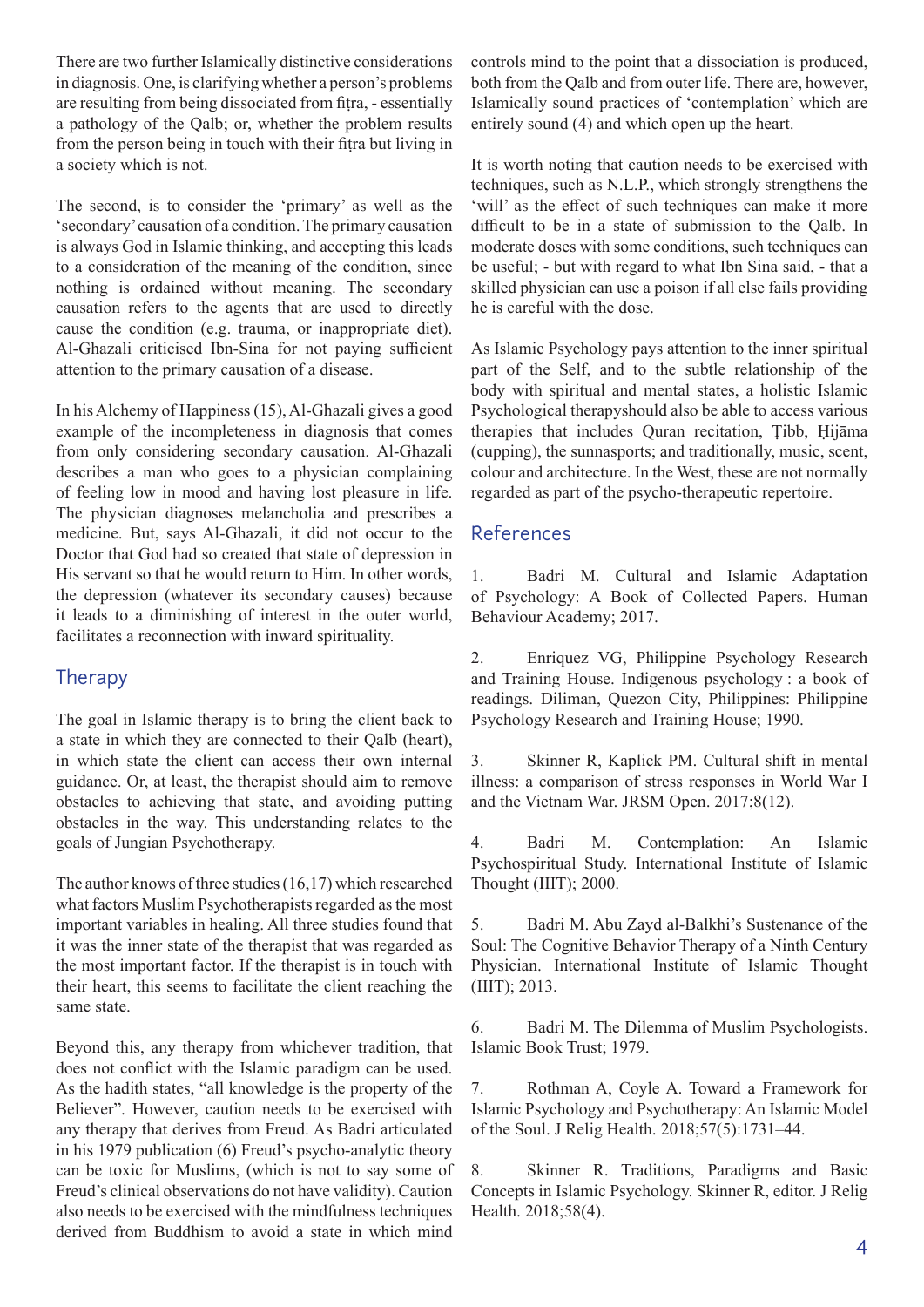There are two further Islamically distinctive considerations in diagnosis. One, is clarifying whether a person's problems are resulting from being dissociated from fitra, - essentially a pathology of the Qalb; or, whether the problem results from the person being in touch with their fiṭra but living in a society which is not.

The second, is to consider the 'primary' as well as the 'secondary' causation of a condition. The primary causation is always God in Islamic thinking, and accepting this leads to a consideration of the meaning of the condition, since nothing is ordained without meaning. The secondary causation refers to the agents that are used to directly cause the condition (e.g. trauma, or inappropriate diet). Al-Ghazali criticised Ibn-Sina for not paying sufficient attention to the primary causation of a disease.

In his Alchemy of Happiness (15), Al-Ghazali gives a good example of the incompleteness in diagnosis that comes from only considering secondary causation. Al-Ghazali describes a man who goes to a physician complaining of feeling low in mood and having lost pleasure in life. The physician diagnoses melancholia and prescribes a medicine. But, says Al-Ghazali, it did not occur to the Doctor that God had so created that state of depression in His servant so that he would return to Him. In other words, the depression (whatever its secondary causes) because it leads to a diminishing of interest in the outer world, facilitates a reconnection with inward spirituality.

# **Therapy**

The goal in Islamic therapy is to bring the client back to a state in which they are connected to their Qalb (heart), in which state the client can access their own internal guidance. Or, at least, the therapist should aim to remove obstacles to achieving that state, and avoiding putting obstacles in the way. This understanding relates to the goals of Jungian Psychotherapy.

The author knows of three studies (16,17) which researched what factors Muslim Psychotherapists regarded as the most important variables in healing. All three studies found that it was the inner state of the therapist that was regarded as the most important factor. If the therapist is in touch with their heart, this seems to facilitate the client reaching the same state.

Beyond this, any therapy from whichever tradition, that does not conflict with the Islamic paradigm can be used. As the hadith states, "all knowledge is the property of the Believer". However, caution needs to be exercised with any therapy that derives from Freud. As Badri articulated in his 1979 publication (6) Freud's psycho-analytic theory can be toxic for Muslims, (which is not to say some of Freud's clinical observations do not have validity). Caution also needs to be exercised with the mindfulness techniques derived from Buddhism to avoid a state in which mind

controls mind to the point that a dissociation is produced, both from the Qalb and from outer life. There are, however, Islamically sound practices of 'contemplation' which are entirely sound (4) and which open up the heart.

It is worth noting that caution needs to be exercised with techniques, such as N.L.P., which strongly strengthens the 'will' as the effect of such techniques can make it more difficult to be in a state of submission to the Qalb. In moderate doses with some conditions, such techniques can be useful; - but with regard to what Ibn Sina said, - that a skilled physician can use a poison if all else fails providing he is careful with the dose.

As Islamic Psychology pays attention to the inner spiritual part of the Self, and to the subtle relationship of the body with spiritual and mental states, a holistic Islamic Psychological therapyshould also be able to access various therapies that includes Quran recitation, Ṭibb, Ḥijāma (cupping), the sunnasports; and traditionally, music, scent, colour and architecture. In the West, these are not normally regarded as part of the psycho-therapeutic repertoire.

## References

1. Badri M. Cultural and Islamic Adaptation of Psychology: A Book of Collected Papers. Human Behaviour Academy; 2017.

2. Enriquez VG, Philippine Psychology Research and Training House. Indigenous psychology : a book of readings. Diliman, Quezon City, Philippines: Philippine Psychology Research and Training House; 1990.

3. Skinner R, Kaplick PM. Cultural shift in mental illness: a comparison of stress responses in World War I and the Vietnam War. JRSM Open. 2017;8(12).

4. Badri M. Contemplation: An Islamic Psychospiritual Study. International Institute of Islamic Thought (IIIT); 2000.

5. Badri M. Abu Zayd al-Balkhi's Sustenance of the Soul: The Cognitive Behavior Therapy of a Ninth Century Physician. International Institute of Islamic Thought (IIIT); 2013.

6. Badri M. The Dilemma of Muslim Psychologists. Islamic Book Trust; 1979.

7. Rothman A, Coyle A. Toward a Framework for Islamic Psychology and Psychotherapy: An Islamic Model of the Soul. J Relig Health. 2018;57(5):1731–44.

8. Skinner R. Traditions, Paradigms and Basic Concepts in Islamic Psychology. Skinner R, editor. J Relig Health. 2018;58(4).